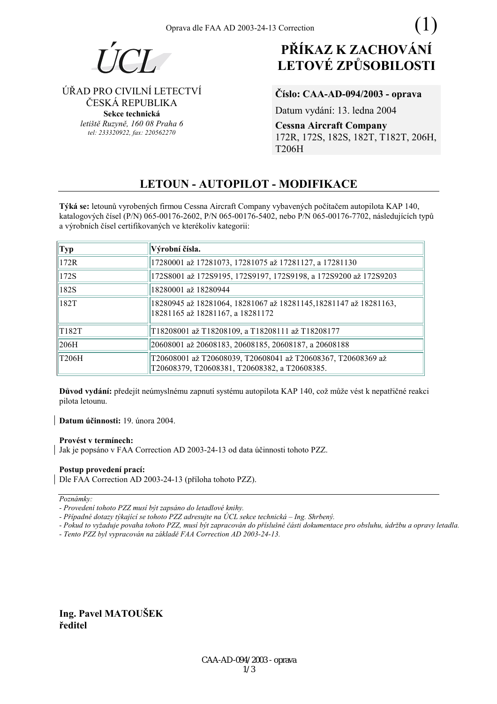

ÚŘAD PRO CIVILNÍ LETECTVÍ

ČESKÁ REPUBLIKA

Sekce technická letiště Ruzyně, 160 08 Praha 6

tel: 233320922, fax: 220562270

# PŘÍKAZ K ZACHOVÁNÍ **LETOVÉ ZPŮSOBILOSTI**

# Číslo: CAA-AD-094/2003 - oprava

Datum vydání: 13. ledna 2004

**Cessna Aircraft Company** 172R, 172S, 182S, 182T, T182T, 206H, **T206H** 

# **LETOUN - AUTOPILOT - MODIFIKACE**

Týká se: letounů vyrobených firmou Cessna Aircraft Company vybavených počítačem autopilota KAP 140, katalogových čísel (P/N) 065-00176-2602, P/N 065-00176-5402, nebo P/N 065-00176-7702, následujících typů a výrobních čísel certifikovaných ve kterékoliv kategorii:

| Typ          | Výrobní čísla.                                                                                                |
|--------------|---------------------------------------------------------------------------------------------------------------|
| 172R         | 17280001 až 17281073, 17281075 až 17281127, a 17281130                                                        |
| 172S         | 172S8001 až 172S9195, 172S9197, 172S9198, a 172S9200 až 172S9203                                              |
| 182S         | 18280001 až 18280944                                                                                          |
| 182T         | 18280945 až 18281064, 18281067 až 18281145,18281147 až 18281163,<br>18281165 až 18281167, a 18281172          |
| T182T        | T18208001 až T18208109, a T18208111 až T18208177                                                              |
| 206H         | 20608001 až 20608183, 20608185, 20608187, a 20608188                                                          |
| <b>T206H</b> | T20608001 až T20608039, T20608041 až T20608367, T20608369 až<br>T20608379, T20608381, T20608382, a T20608385. |

Důvod vydání: předejít neúmyslnému zapnutí systému autopilota KAP 140, což může vést k nepatřičné reakci pilota letounu.

Datum účinnosti: 19. února 2004.

#### Provést v termínech:

Jak je popsáno v FAA Correction AD 2003-24-13 od data účinnosti tohoto PZZ.

# Postup provedení prací:

Dle FAA Correction AD 2003-24-13 (příloha tohoto PZZ).

Poznámky:

- Tento PZZ byl vypracován na základě FAA Correction AD 2003-24-13.

Ing. Pavel MATOUŠEK ředitel

<sup>-</sup> Provedení tohoto PZZ musí být zapsáno do letadlové knihy.

<sup>-</sup> Případné dotazy týkající se tohoto PZZ adresujte na ÚCL sekce technická – Ing. Shrbený.

<sup>-</sup> Pokud to vyžaduje povaha tohoto PZZ, musí být zapracován do příslušné části dokumentace pro obsluhu, údržbu a opravy letadla.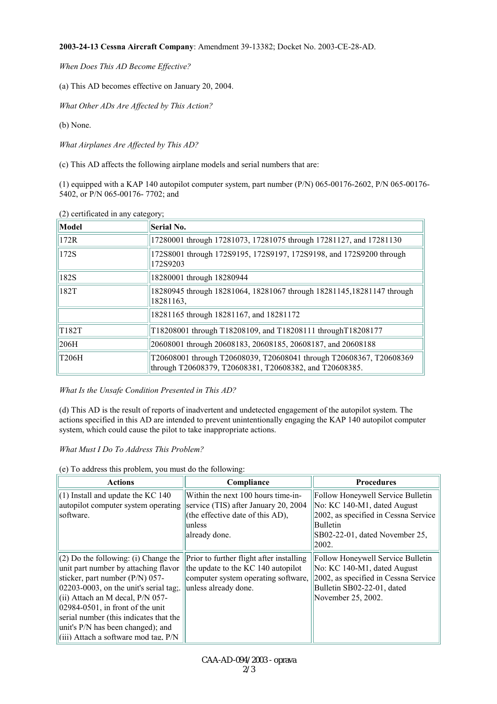**2003-24-13 Cessna Aircraft Company**: Amendment 39-13382; Docket No. 2003-CE-28-AD.

*When Does This AD Become Effective?*

(a) This AD becomes effective on January 20, 2004.

*What Other ADs Are Affected by This Action?* 

(b) None.

*What Airplanes Are Affected by This AD?*

(c) This AD affects the following airplane models and serial numbers that are:

(1) equipped with a KAP 140 autopilot computer system, part number (P/N) 065-00176-2602, P/N 065-00176- 5402, or P/N 065-00176- 7702; and

| Model              | Serial No.                                                                                                                     |
|--------------------|--------------------------------------------------------------------------------------------------------------------------------|
| 172R               | 17280001 through 17281073, 17281075 through 17281127, and 17281130                                                             |
| 172S               | 172S8001 through 172S9195, 172S9197, 172S9198, and 172S9200 through<br>172S9203                                                |
| 182S               | 18280001 through 18280944                                                                                                      |
| 182T               | 18280945 through 18281064, 18281067 through 18281145, 18281147 through<br>18281163,                                            |
|                    | 18281165 through 18281167, and 18281172                                                                                        |
| T <sub>182</sub> T | T18208001 through T18208109, and T18208111 throughT18208177                                                                    |
| 206H               | 20608001 through 20608183, 20608185, 20608187, and 20608188                                                                    |
| T206H              | T20608001 through T20608039, T20608041 through T20608367, T20608369<br>through T20608379, T20608381, T20608382, and T20608385. |

(2) certificated in any category;

## *What Is the Unsafe Condition Presented in This AD?*

(d) This AD is the result of reports of inadvertent and undetected engagement of the autopilot system. The actions specified in this AD are intended to prevent unintentionally engaging the KAP 140 autopilot computer system, which could cause the pilot to take inappropriate actions.

## *What Must I Do To Address This Problem?*

(e) To address this problem, you must do the following:

| <b>Actions</b>                                | Compliance                               | <b>Procedures</b>                    |
|-----------------------------------------------|------------------------------------------|--------------------------------------|
| $\parallel$ (1) Install and update the KC 140 | Within the next 100 hours time-in-       | Follow Honeywell Service Bulletin    |
| autopilot computer system operating           | service (TIS) after January 20, 2004     | No: KC 140-M1, dated August          |
| software.                                     | (the effective date of this AD),         | 2002, as specified in Cessna Service |
|                                               | unless                                   | Bulletin                             |
|                                               | already done.                            | SB02-22-01, dated November 25,       |
|                                               |                                          | 2002.                                |
| $(2)$ Do the following: (i) Change the        | Prior to further flight after installing | Follow Honeywell Service Bulletin    |
| unit part number by attaching flavor          | the update to the KC 140 autopilot       | No: KC 140-M1, dated August          |
| sticker, part number (P/N) 057-               | computer system operating software,      | 2002, as specified in Cessna Service |
| $ 02203-0003 $ , on the unit's serial tag.    | unless already done.                     | Bulletin SB02-22-01, dated           |
| (ii) Attach an M decal, $P/N$ 057-            |                                          | November 25, 2002.                   |
| $ 02984-0501 $ , in front of the unit         |                                          |                                      |
| serial number (this indicates that the        |                                          |                                      |
| unit's P/N has been changed); and             |                                          |                                      |
| (iii) Attach a software mod tag. P/N          |                                          |                                      |